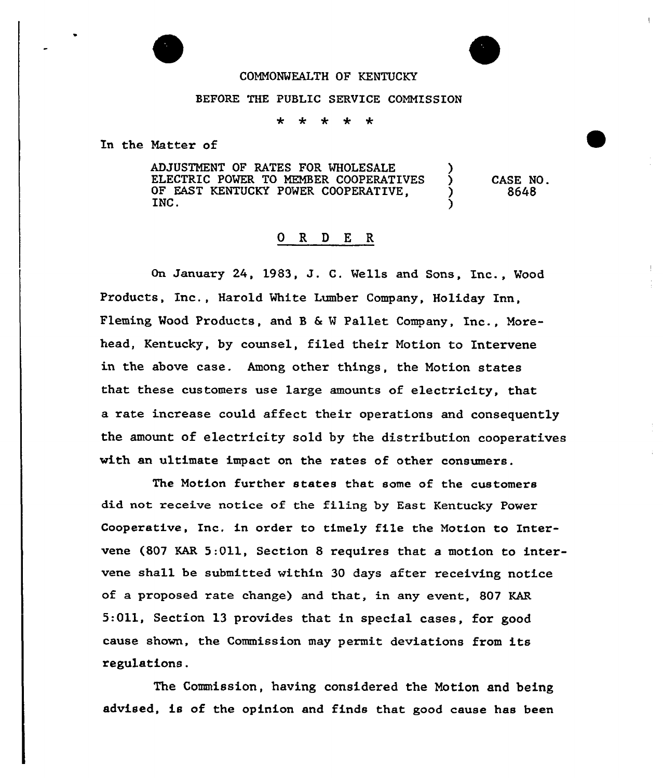

## BEFORE THE PUBLIC SERUICE COMMISSION

sistem.  $\leftarrow$  $\mathbf{+}$  $\ddot{\phantom{1}}$ ÷

In the Natter of

ADJUSTMENT OF RATES FOR WHOLESALE ELECTRIC POWER TO MEMBER COOPERATIVES OF EAST KENTUCKY POWER COOPERATIVE, INC. INC.  $\qquad \qquad$ 

CASE NO. 8648

## 0 R <sup>D</sup> E R

On January 24, 1983, J. C. Wells and Sons, Inc., Wood Products, Inc., Harold White Lumber Company, Holiday Inn, Fleming Wood Products, and <sup>B</sup> <sup>6</sup> <sup>W</sup> Pallet Company, Inc., Norehead, Kentucky, by counsel, filed their Motion to Intervene in the above case. Among other things, the Notion states that these customers use large amounts of electricity, that a rate increase could affect their operations and consequently the amount of electricity sold by the distribution cooperatives with an ultimate impact on the rates of other consumers.

The Motion further states that some of the customers did not receive notice of the filing by East Kentucky Power Cooperative, Inc, in order to timely file the Motion to Intervene (807 KAR 5:011, Section 8 requires that a motion to intervene shall be submitted within 30 days after receiving notice of a proposed rate change) and that, in any event, 807 KAR 5:011, Section 13 provides that in special cases, for good cause shown, the Commission may permit deviations from its regulations.

The Commission, having considered the Motion and being advised, is of the opinion and finds that good cause has been